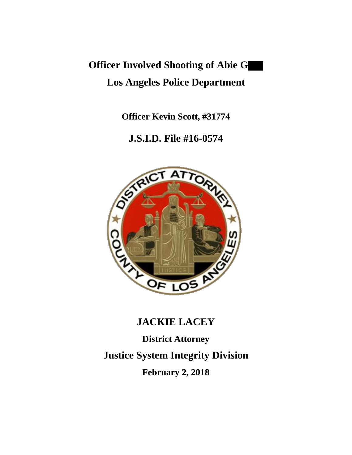# **Officer Involved Shooting of Abie G Los Angeles Police Department**

**Officer Kevin Scott, #31774**

# **J.S.I.D. File #16-0574**



## **JACKIE LACEY**

**District Attorney Justice System Integrity Division February 2, 2018**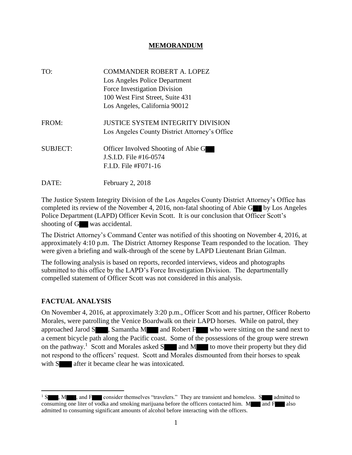#### **MEMORANDUM**

| TO:             | <b>COMMANDER ROBERT A. LOPEZ</b><br>Los Angeles Police Department<br>Force Investigation Division<br>100 West First Street, Suite 431<br>Los Angeles, California 90012 |
|-----------------|------------------------------------------------------------------------------------------------------------------------------------------------------------------------|
| FROM:           | <b>JUSTICE SYSTEM INTEGRITY DIVISION</b><br>Los Angeles County District Attorney's Office                                                                              |
| <b>SUBJECT:</b> | Officer Involved Shooting of Abie G<br>J.S.I.D. File #16-0574<br>$F.L.D.$ File #F071-16                                                                                |
| DATE:           | February 2, 2018                                                                                                                                                       |

The Justice System Integrity Division of the Los Angeles County District Attorney's Office has completed its review of the November 4, 2016, non-fatal shooting of Abie G $\blacksquare$  by Los Angeles Police Department (LAPD) Officer Kevin Scott. It is our conclusion that Officer Scott's shooting of G was accidental.

The District Attorney's Command Center was notified of this shooting on November 4, 2016, at approximately 4:10 p.m. The District Attorney Response Team responded to the location. They were given a briefing and walk-through of the scene by LAPD Lieutenant Brian Gilman.

The following analysis is based on reports, recorded interviews, videos and photographs submitted to this office by the LAPD's Force Investigation Division. The departmentally compelled statement of Officer Scott was not considered in this analysis.

### **FACTUAL ANALYSIS**

 $\overline{\phantom{a}}$ 

On November 4, 2016, at approximately 3:20 p.m., Officer Scott and his partner, Officer Roberto Morales, were patrolling the Venice Boardwalk on their LAPD horses. While on patrol, they approached Jarod  $S \longrightarrow$ , Samantha M and Robert F who were sitting on the sand next to a cement bicycle path along the Pacific coast. Some of the possessions of the group were strewn on the pathway.<sup>1</sup> Scott and Morales asked  $S$  and M to move their property but they did not respond to the officers' request. Scott and Morales dismounted from their horses to speak with S after it became clear he was intoxicated.

 $1 S$ , M, and F consider themselves "travelers." They are transient and homeless. S admitted to consuming one liter of vodka and smoking marijuana before the officers contacted him.  $M_{\bullet}$  and  $F_{\bullet}$  also admitted to consuming significant amounts of alcohol before interacting with the officers.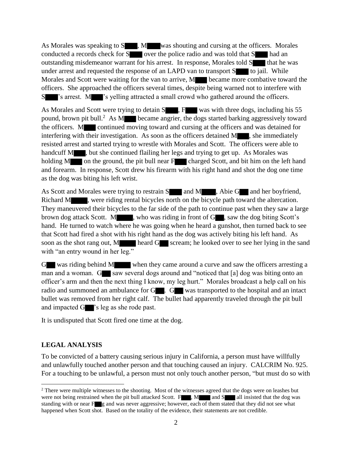As Morales was speaking to S , M was shouting and cursing at the officers. Morales conducted a records check for  $S$  over the police radio and was told that  $S$  had an outstanding misdemeanor warrant for his arrest. In response, Morales told S that he was under arrest and requested the response of an LAPD van to transport  $S$  to jail. While Morales and Scott were waiting for the van to arrive, M became more combative toward the officers. She approached the officers several times, despite being warned not to interfere with S 's arrest. M 's yelling attracted a small crowd who gathered around the officers.

As Morales and Scott were trying to detain S , F was with three dogs, including his 55 pound, brown pit bull.<sup>2</sup> As M became angrier, the dogs started barking aggressively toward the officers. M continued moving toward and cursing at the officers and was detained for interfering with their investigation. As soon as the officers detained M , she immediately resisted arrest and started trying to wrestle with Morales and Scott. The officers were able to handcuff M , but she continued flailing her legs and trying to get up. As Morales was holding  $M$  on the ground, the pit bull near  $F$  charged Scott, and bit him on the left hand and forearm. In response, Scott drew his firearm with his right hand and shot the dog one time as the dog was biting his left wrist.

As Scott and Morales were trying to restrain S and M , Abie G and her boyfriend, Richard M , were riding rental bicycles north on the bicycle path toward the altercation. They maneuvered their bicycles to the far side of the path to continue past when they saw a large brown dog attack Scott. M , who was riding in front of G , saw the dog biting Scott's hand. He turned to watch where he was going when he heard a gunshot, then turned back to see that Scott had fired a shot with his right hand as the dog was actively biting his left hand. As soon as the shot rang out, M heard G scream; he looked over to see her lying in the sand with "an entry wound in her leg."

G was riding behind M when they came around a curve and saw the officers arresting a man and a woman.  $G$  saw several dogs around and "noticed that [a] dog was biting onto an officer's arm and then the next thing I know, my leg hurt." Morales broadcast a help call on his radio and summoned an ambulance for G  $\blacksquare$ . G was transported to the hospital and an intact bullet was removed from her right calf. The bullet had apparently traveled through the pit bull and impacted G  $\triangleright$  's leg as she rode past.

It is undisputed that Scott fired one time at the dog.

#### **LEGAL ANALYSIS**

 $\overline{\phantom{a}}$ 

To be convicted of a battery causing serious injury in California, a person must have willfully and unlawfully touched another person and that touching caused an injury. CALCRIM No. 925. For a touching to be unlawful, a person must not only touch another person, "but must do so with

<sup>&</sup>lt;sup>2</sup> There were multiple witnesses to the shooting. Most of the witnesses agreed that the dogs were on leashes but were not being restrained when the pit bull attacked Scott.  $F_{\bullet}$ , M and S all insisted that the dog was standing with or near F g and was never aggressive; however, each of them stated that they did not see what happened when Scott shot. Based on the totality of the evidence, their statements are not credible.